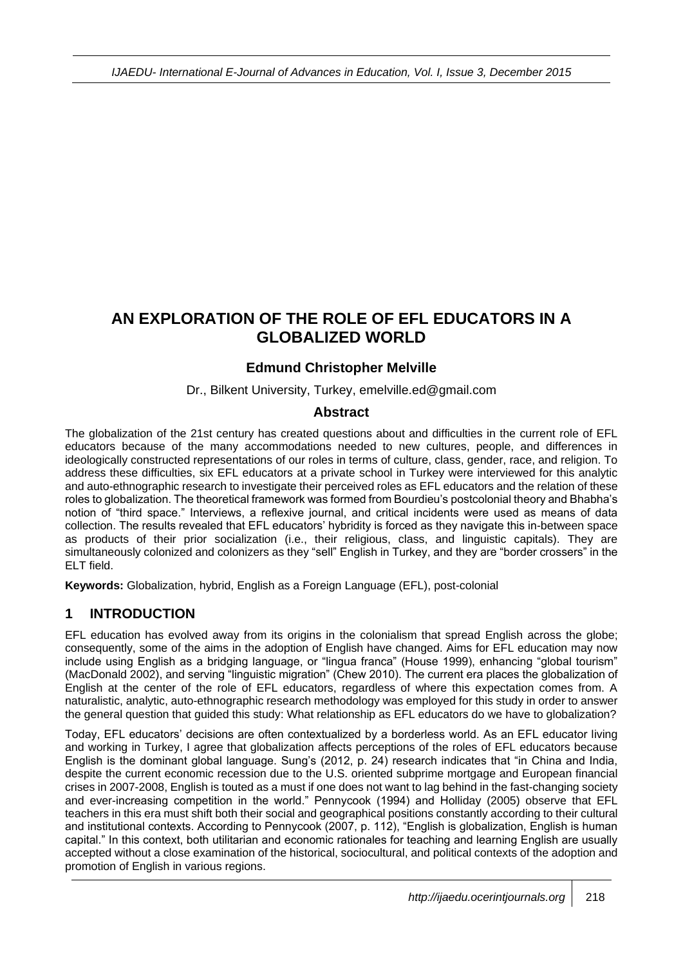# **AN EXPLORATION OF THE ROLE OF EFL EDUCATORS IN A GLOBALIZED WORLD**

## **Edmund Christopher Melville**

Dr., Bilkent University, Turkey, emelville.ed@gmail.com

#### **Abstract**

The globalization of the 21st century has created questions about and difficulties in the current role of EFL educators because of the many accommodations needed to new cultures, people, and differences in ideologically constructed representations of our roles in terms of culture, class, gender, race, and religion. To address these difficulties, six EFL educators at a private school in Turkey were interviewed for this analytic and auto-ethnographic research to investigate their perceived roles as EFL educators and the relation of these roles to globalization. The theoretical framework was formed from Bourdieu's postcolonial theory and Bhabha's notion of "third space." Interviews, a reflexive journal, and critical incidents were used as means of data collection. The results revealed that EFL educators' hybridity is forced as they navigate this in-between space as products of their prior socialization (i.e., their religious, class, and linguistic capitals). They are simultaneously colonized and colonizers as they "sell" English in Turkey, and they are "border crossers" in the ELT field.

**Keywords:** Globalization, hybrid, English as a Foreign Language (EFL), post-colonial

#### **1 INTRODUCTION**

EFL education has evolved away from its origins in the colonialism that spread English across the globe; consequently, some of the aims in the adoption of English have changed. Aims for EFL education may now include using English as a bridging language, or "lingua franca" (House 1999), enhancing "global tourism" (MacDonald 2002), and serving "linguistic migration" (Chew 2010). The current era places the globalization of English at the center of the role of EFL educators, regardless of where this expectation comes from. A naturalistic, analytic, auto-ethnographic research methodology was employed for this study in order to answer the general question that guided this study: What relationship as EFL educators do we have to globalization?

Today, EFL educators' decisions are often contextualized by a borderless world. As an EFL educator living and working in Turkey, I agree that globalization affects perceptions of the roles of EFL educators because English is the dominant global language. Sung's (2012, p. 24) research indicates that "in China and India, despite the current economic recession due to the U.S. oriented subprime mortgage and European financial crises in 2007-2008, English is touted as a must if one does not want to lag behind in the fast-changing society and ever-increasing competition in the world." Pennycook (1994) and Holliday (2005) observe that EFL teachers in this era must shift both their social and geographical positions constantly according to their cultural and institutional contexts. According to Pennycook (2007, p. 112), "English is globalization, English is human capital." In this context, both utilitarian and economic rationales for teaching and learning English are usually accepted without a close examination of the historical, sociocultural, and political contexts of the adoption and promotion of English in various regions.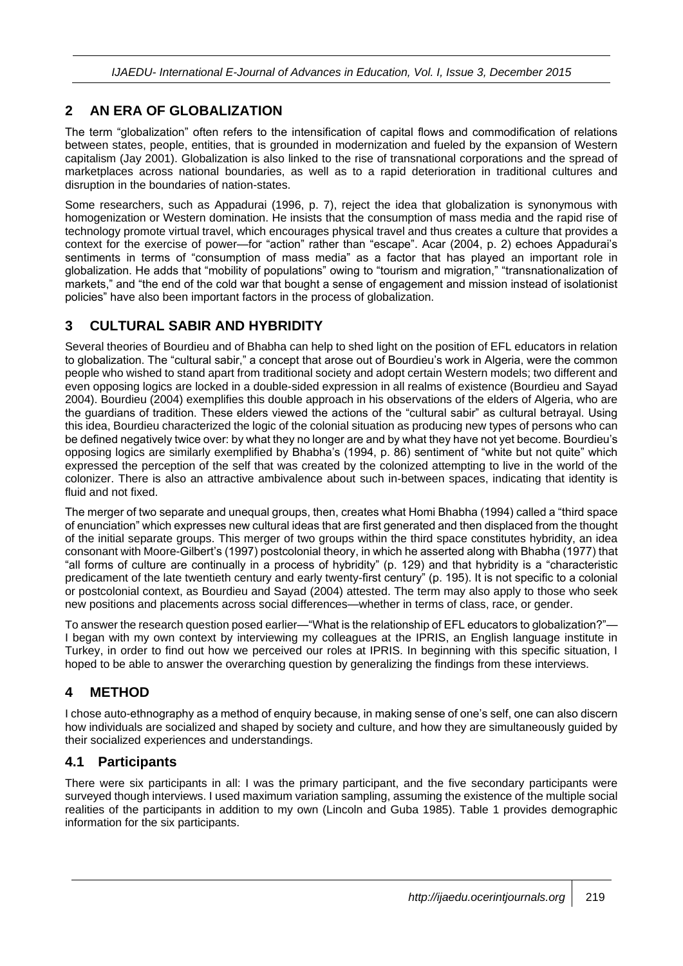#### **2 AN ERA OF GLOBALIZATION**

The term "globalization" often refers to the intensification of capital flows and commodification of relations between states, people, entities, that is grounded in modernization and fueled by the expansion of Western capitalism (Jay 2001). Globalization is also linked to the rise of transnational corporations and the spread of marketplaces across national boundaries, as well as to a rapid deterioration in traditional cultures and disruption in the boundaries of nation-states.

Some researchers, such as Appadurai (1996, p. 7), reject the idea that globalization is synonymous with homogenization or Western domination. He insists that the consumption of mass media and the rapid rise of technology promote virtual travel, which encourages physical travel and thus creates a culture that provides a context for the exercise of power—for "action" rather than "escape". Acar (2004, p. 2) echoes Appadurai's sentiments in terms of "consumption of mass media" as a factor that has played an important role in globalization. He adds that "mobility of populations" owing to "tourism and migration," "transnationalization of markets," and "the end of the cold war that bought a sense of engagement and mission instead of isolationist policies" have also been important factors in the process of globalization.

## **3 CULTURAL SABIR AND HYBRIDITY**

Several theories of Bourdieu and of Bhabha can help to shed light on the position of EFL educators in relation to globalization. The "cultural sabir," a concept that arose out of Bourdieu's work in Algeria, were the common people who wished to stand apart from traditional society and adopt certain Western models; two different and even opposing logics are locked in a double-sided expression in all realms of existence (Bourdieu and Sayad 2004). Bourdieu (2004) exemplifies this double approach in his observations of the elders of Algeria, who are the guardians of tradition. These elders viewed the actions of the "cultural sabir" as cultural betrayal. Using this idea, Bourdieu characterized the logic of the colonial situation as producing new types of persons who can be defined negatively twice over: by what they no longer are and by what they have not yet become. Bourdieu's opposing logics are similarly exemplified by Bhabha's (1994, p. 86) sentiment of "white but not quite" which expressed the perception of the self that was created by the colonized attempting to live in the world of the colonizer. There is also an attractive ambivalence about such in-between spaces, indicating that identity is fluid and not fixed.

The merger of two separate and unequal groups, then, creates what Homi Bhabha (1994) called a "third space of enunciation" which expresses new cultural ideas that are first generated and then displaced from the thought of the initial separate groups. This merger of two groups within the third space constitutes hybridity, an idea consonant with Moore-Gilbert's (1997) postcolonial theory, in which he asserted along with Bhabha (1977) that "all forms of culture are continually in a process of hybridity" (p. 129) and that hybridity is a "characteristic predicament of the late twentieth century and early twenty-first century" (p. 195). It is not specific to a colonial or postcolonial context, as Bourdieu and Sayad (2004) attested. The term may also apply to those who seek new positions and placements across social differences—whether in terms of class, race, or gender.

To answer the research question posed earlier—"What is the relationship of EFL educators to globalization?"— I began with my own context by interviewing my colleagues at the IPRIS, an English language institute in Turkey, in order to find out how we perceived our roles at IPRIS. In beginning with this specific situation, I hoped to be able to answer the overarching question by generalizing the findings from these interviews.

# **4 METHOD**

I chose auto-ethnography as a method of enquiry because, in making sense of one's self, one can also discern how individuals are socialized and shaped by society and culture, and how they are simultaneously guided by their socialized experiences and understandings.

#### **4.1 Participants**

There were six participants in all: I was the primary participant, and the five secondary participants were surveyed though interviews. I used maximum variation sampling, assuming the existence of the multiple social realities of the participants in addition to my own (Lincoln and Guba 1985). Table 1 provides demographic information for the six participants.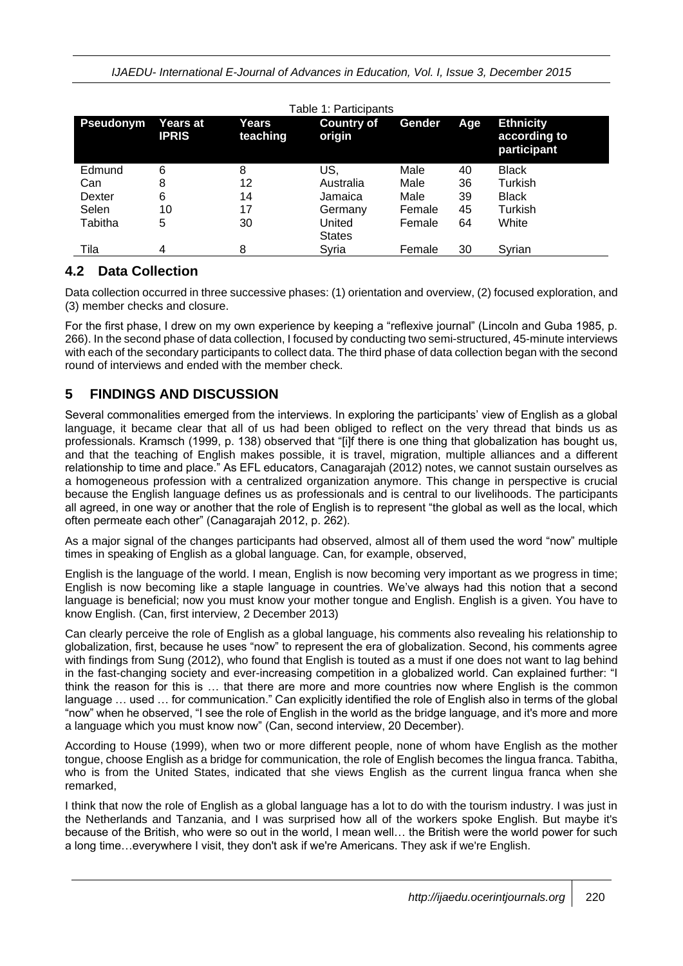| Table 1: Participants |                          |                   |                             |        |     |                                                 |
|-----------------------|--------------------------|-------------------|-----------------------------|--------|-----|-------------------------------------------------|
| <b>Pseudonym</b>      | Years at<br><b>IPRIS</b> | Years<br>teaching | <b>Country of</b><br>origin | Gender | Age | <b>Ethnicity</b><br>according to<br>participant |
| Edmund                | 6                        | 8                 | US,                         | Male   | 40  | <b>Black</b>                                    |
| Can                   | 8                        | 12                | Australia                   | Male   | 36  | Turkish                                         |
| Dexter                | 6                        | 14                | Jamaica                     | Male   | 39  | <b>Black</b>                                    |
| Selen                 | 10                       | 17                | Germany                     | Female | 45  | Turkish                                         |
| Tabitha               | 5                        | 30                | United<br><b>States</b>     | Female | 64  | White                                           |
| Tila                  | 4                        | 8                 | Syria                       | Female | 30  | Syrian                                          |

## **4.2 Data Collection**

Data collection occurred in three successive phases: (1) orientation and overview, (2) focused exploration, and (3) member checks and closure.

For the first phase, I drew on my own experience by keeping a "reflexive journal" (Lincoln and Guba 1985, p. 266). In the second phase of data collection, I focused by conducting two semi-structured, 45-minute interviews with each of the secondary participants to collect data. The third phase of data collection began with the second round of interviews and ended with the member check.

# **5 FINDINGS AND DISCUSSION**

Several commonalities emerged from the interviews. In exploring the participants' view of English as a global language, it became clear that all of us had been obliged to reflect on the very thread that binds us as professionals. Kramsch (1999, p. 138) observed that "[i]f there is one thing that globalization has bought us, and that the teaching of English makes possible, it is travel, migration, multiple alliances and a different relationship to time and place." As EFL educators, Canagarajah (2012) notes, we cannot sustain ourselves as a homogeneous profession with a centralized organization anymore. This change in perspective is crucial because the English language defines us as professionals and is central to our livelihoods. The participants all agreed, in one way or another that the role of English is to represent "the global as well as the local, which often permeate each other" (Canagarajah 2012, p. 262).

As a major signal of the changes participants had observed, almost all of them used the word "now" multiple times in speaking of English as a global language. Can, for example, observed,

English is the language of the world. I mean, English is now becoming very important as we progress in time; English is now becoming like a staple language in countries. We've always had this notion that a second language is beneficial; now you must know your mother tongue and English. English is a given. You have to know English. (Can, first interview, 2 December 2013)

Can clearly perceive the role of English as a global language, his comments also revealing his relationship to globalization, first, because he uses "now" to represent the era of globalization. Second, his comments agree with findings from Sung (2012), who found that English is touted as a must if one does not want to lag behind in the fast-changing society and ever-increasing competition in a globalized world. Can explained further: "I think the reason for this is … that there are more and more countries now where English is the common language … used … for communication." Can explicitly identified the role of English also in terms of the global "now" when he observed, "I see the role of English in the world as the bridge language, and it's more and more a language which you must know now" (Can, second interview, 20 December).

According to House (1999), when two or more different people, none of whom have English as the mother tongue, choose English as a bridge for communication, the role of English becomes the lingua franca. Tabitha, who is from the United States, indicated that she views English as the current lingua franca when she remarked,

I think that now the role of English as a global language has a lot to do with the tourism industry. I was just in the Netherlands and Tanzania, and I was surprised how all of the workers spoke English. But maybe it's because of the British, who were so out in the world, I mean well… the British were the world power for such a long time…everywhere I visit, they don't ask if we're Americans. They ask if we're English.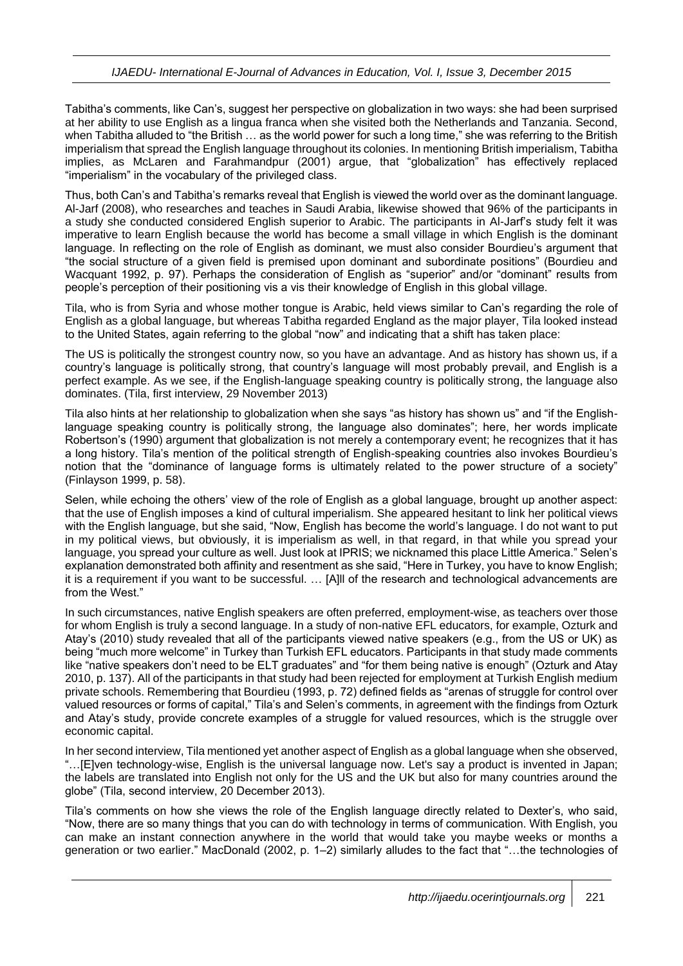Tabitha's comments, like Can's, suggest her perspective on globalization in two ways: she had been surprised at her ability to use English as a lingua franca when she visited both the Netherlands and Tanzania. Second, when Tabitha alluded to "the British … as the world power for such a long time," she was referring to the British imperialism that spread the English language throughout its colonies. In mentioning British imperialism, Tabitha implies, as McLaren and Farahmandpur (2001) argue, that "globalization" has effectively replaced "imperialism" in the vocabulary of the privileged class.

Thus, both Can's and Tabitha's remarks reveal that English is viewed the world over as the dominant language. Al-Jarf (2008), who researches and teaches in Saudi Arabia, likewise showed that 96% of the participants in a study she conducted considered English superior to Arabic. The participants in Al-Jarf's study felt it was imperative to learn English because the world has become a small village in which English is the dominant language. In reflecting on the role of English as dominant, we must also consider Bourdieu's argument that "the social structure of a given field is premised upon dominant and subordinate positions" (Bourdieu and Wacquant 1992, p. 97). Perhaps the consideration of English as "superior" and/or "dominant" results from people's perception of their positioning vis a vis their knowledge of English in this global village.

Tila, who is from Syria and whose mother tongue is Arabic, held views similar to Can's regarding the role of English as a global language, but whereas Tabitha regarded England as the major player, Tila looked instead to the United States, again referring to the global "now" and indicating that a shift has taken place:

The US is politically the strongest country now, so you have an advantage. And as history has shown us, if a country's language is politically strong, that country's language will most probably prevail, and English is a perfect example. As we see, if the English-language speaking country is politically strong, the language also dominates. (Tila, first interview, 29 November 2013)

Tila also hints at her relationship to globalization when she says "as history has shown us" and "if the Englishlanguage speaking country is politically strong, the language also dominates"; here, her words implicate Robertson's (1990) argument that globalization is not merely a contemporary event; he recognizes that it has a long history. Tila's mention of the political strength of English-speaking countries also invokes Bourdieu's notion that the "dominance of language forms is ultimately related to the power structure of a society" (Finlayson 1999, p. 58).

Selen, while echoing the others' view of the role of English as a global language, brought up another aspect: that the use of English imposes a kind of cultural imperialism. She appeared hesitant to link her political views with the English language, but she said, "Now, English has become the world's language. I do not want to put in my political views, but obviously, it is imperialism as well, in that regard, in that while you spread your language, you spread your culture as well. Just look at IPRIS; we nicknamed this place Little America." Selen's explanation demonstrated both affinity and resentment as she said, "Here in Turkey, you have to know English; it is a requirement if you want to be successful. … [A]ll of the research and technological advancements are from the West."

In such circumstances, native English speakers are often preferred, employment-wise, as teachers over those for whom English is truly a second language. In a study of non-native EFL educators, for example, Ozturk and Atay's (2010) study revealed that all of the participants viewed native speakers (e.g., from the US or UK) as being "much more welcome" in Turkey than Turkish EFL educators. Participants in that study made comments like "native speakers don't need to be ELT graduates" and "for them being native is enough" (Ozturk and Atay 2010, p. 137). All of the participants in that study had been rejected for employment at Turkish English medium private schools. Remembering that Bourdieu (1993, p. 72) defined fields as "arenas of struggle for control over valued resources or forms of capital," Tila's and Selen's comments, in agreement with the findings from Ozturk and Atay's study, provide concrete examples of a struggle for valued resources, which is the struggle over economic capital.

In her second interview, Tila mentioned yet another aspect of English as a global language when she observed, "…[E]ven technology-wise, English is the universal language now. Let's say a product is invented in Japan; the labels are translated into English not only for the US and the UK but also for many countries around the globe" (Tila, second interview, 20 December 2013).

Tila's comments on how she views the role of the English language directly related to Dexter's, who said, "Now, there are so many things that you can do with technology in terms of communication. With English, you can make an instant connection anywhere in the world that would take you maybe weeks or months a generation or two earlier." MacDonald (2002, p. 1–2) similarly alludes to the fact that "…the technologies of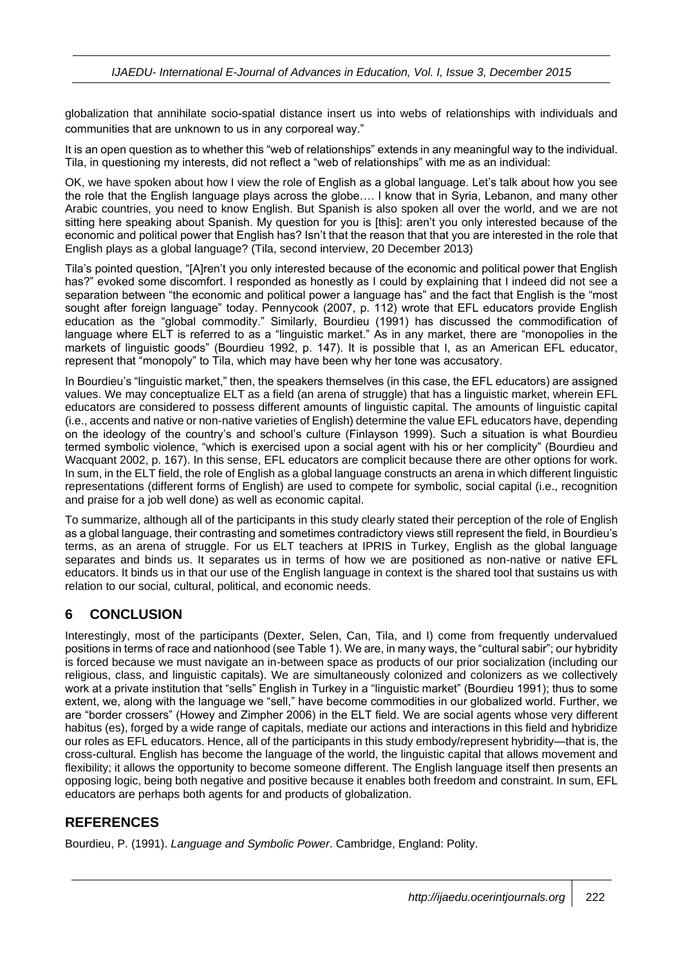globalization that annihilate socio‐spatial distance insert us into webs of relationships with individuals and communities that are unknown to us in any corporeal way."

It is an open question as to whether this "web of relationships" extends in any meaningful way to the individual. Tila, in questioning my interests, did not reflect a "web of relationships" with me as an individual:

OK, we have spoken about how I view the role of English as a global language. Let's talk about how you see the role that the English language plays across the globe…. I know that in Syria, Lebanon, and many other Arabic countries, you need to know English. But Spanish is also spoken all over the world, and we are not sitting here speaking about Spanish. My question for you is [this]: aren't you only interested because of the economic and political power that English has? Isn't that the reason that that you are interested in the role that English plays as a global language? (Tila, second interview, 20 December 2013)

Tila's pointed question, "[A]ren't you only interested because of the economic and political power that English has?" evoked some discomfort. I responded as honestly as I could by explaining that I indeed did not see a separation between "the economic and political power a language has" and the fact that English is the "most sought after foreign language" today. Pennycook (2007, p. 112) wrote that EFL educators provide English education as the "global commodity." Similarly, Bourdieu (1991) has discussed the commodification of language where ELT is referred to as a "linguistic market." As in any market, there are "monopolies in the markets of linguistic goods" (Bourdieu 1992, p. 147). It is possible that I, as an American EFL educator, represent that "monopoly" to Tila, which may have been why her tone was accusatory.

In Bourdieu's "linguistic market," then, the speakers themselves (in this case, the EFL educators) are assigned values. We may conceptualize ELT as a field (an arena of struggle) that has a linguistic market, wherein EFL educators are considered to possess different amounts of linguistic capital. The amounts of linguistic capital (i.e., accents and native or non-native varieties of English) determine the value EFL educators have, depending on the ideology of the country's and school's culture (Finlayson 1999). Such a situation is what Bourdieu termed symbolic violence, "which is exercised upon a social agent with his or her complicity" (Bourdieu and Wacquant 2002, p. 167). In this sense, EFL educators are complicit because there are other options for work. In sum, in the ELT field, the role of English as a global language constructs an arena in which different linguistic representations (different forms of English) are used to compete for symbolic, social capital (i.e., recognition and praise for a job well done) as well as economic capital.

To summarize, although all of the participants in this study clearly stated their perception of the role of English as a global language, their contrasting and sometimes contradictory views still represent the field, in Bourdieu's terms, as an arena of struggle. For us ELT teachers at IPRIS in Turkey, English as the global language separates and binds us. It separates us in terms of how we are positioned as non-native or native EFL educators. It binds us in that our use of the English language in context is the shared tool that sustains us with relation to our social, cultural, political, and economic needs.

#### **6 CONCLUSION**

Interestingly, most of the participants (Dexter, Selen, Can, Tila, and I) come from frequently undervalued positions in terms of race and nationhood (see Table 1). We are, in many ways, the "cultural sabir"; our hybridity is forced because we must navigate an in-between space as products of our prior socialization (including our religious, class, and linguistic capitals). We are simultaneously colonized and colonizers as we collectively work at a private institution that "sells" English in Turkey in a "linguistic market" (Bourdieu 1991); thus to some extent, we, along with the language we "sell," have become commodities in our globalized world. Further, we are "border crossers" (Howey and Zimpher 2006) in the ELT field. We are social agents whose very different habitus (es), forged by a wide range of capitals, mediate our actions and interactions in this field and hybridize our roles as EFL educators. Hence, all of the participants in this study embody/represent hybridity—that is, the cross-cultural. English has become the language of the world, the linguistic capital that allows movement and flexibility; it allows the opportunity to become someone different. The English language itself then presents an opposing logic, being both negative and positive because it enables both freedom and constraint. In sum, EFL educators are perhaps both agents for and products of globalization.

#### **REFERENCES**

Bourdieu, P. (1991). *Language and Symbolic Power*. Cambridge, England: Polity.